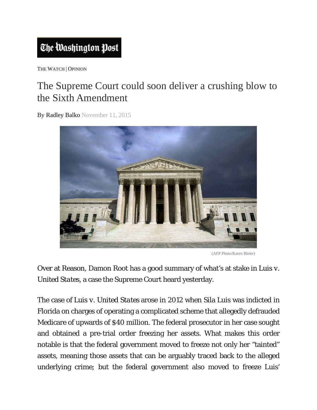## The Washington Post

THE WATCH | OPINION

## The Supreme Court could soon deliver a crushing blow to the Sixth Amendment

By Radley Balko November 11, 2015



(AFP Photo/Karen Bleier)

Over at Reason, Damon Root has a good summary of what's at stake in *Luis v. United States*, a case the Supreme Court heard yesterday.

The case of *Luis v. United States* arose in 2012 when Sila Luis was indicted in Florida on charges of operating a complicated scheme that allegedly defrauded Medicare of upwards of \$40 million. The federal prosecutor in her case sought and obtained a pre-trial order freezing her assets. What makes this order notable is that the federal government moved to freeze not only her "tainted" assets, meaning those assets that can be arguably traced back to the alleged underlying crime; but the federal government also moved to freeze Luis'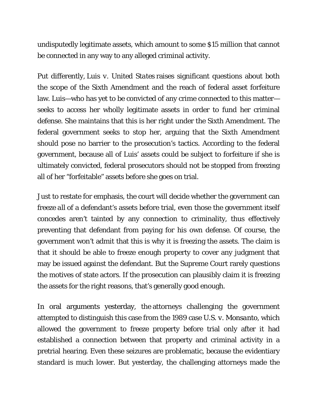undisputedly legitimate assets, which amount to some \$15 million that cannot be connected in any way to any alleged criminal activity.

Put differently, *Luis v. United States* raises significant questions about both the scope of the Sixth Amendment and the reach of federal asset forfeiture law. Luis—who has yet to be convicted of any crime connected to this matter seeks to access her wholly legitimate assets in order to fund her criminal defense. She maintains that this is her right under the Sixth Amendment. The federal government seeks to stop her, arguing that the Sixth Amendment should pose no barrier to the prosecution's tactics. According to the federal government, because all of Luis' assets could be subject to forfeiture if she is ultimately convicted, federal prosecutors should not be stopped from freezing all of her "forfeitable" assets before she goes on trial.

Just to restate for emphasis, the court will decide whether the government can freeze *all* of a defendant's assets before trial, even those the government itself concedes aren't tainted by any connection to criminality, thus effectively preventing that defendant from paying for his own defense. Of course, the government won't admit that this is why it is freezing the assets. The claim is that it should be able to freeze enough property to cover any judgment that may be issued against the defendant. But the Supreme Court rarely questions the motives of state actors. If the prosecution can plausibly claim it is freezing the assets for the right reasons, that's generally good enough.

In oral arguments yesterday, the attorneys challenging the government attempted to distinguish this case from the 1989 case *U.S. v. Monsanto*, which allowed the government to freeze property before trial only after it had established a connection between that property and criminal activity in a pretrial hearing. Even these seizures are problematic, because the evidentiary standard is much lower. But yesterday, the challenging attorneys made the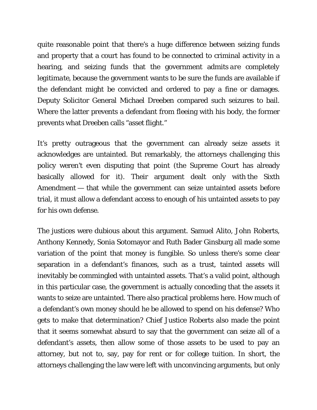quite reasonable point that there's a huge difference between seizing funds and property that a court has found to be connected to criminal activity in a hearing, and seizing funds that the government admits *are completely legitimate*, because the government wants to be sure the funds are available if the defendant might be convicted and ordered to pay a fine or damages. Deputy Solicitor General Michael Dreeben compared such seizures to bail. Where the latter prevents a defendant from fleeing with his body, the former prevents what Dreeben calls "asset flight."

It's pretty outrageous that the government can already seize assets it acknowledges are untainted. But remarkably, the attorneys challenging this policy weren't even disputing that point (the Supreme Court has already basically allowed for it). Their argument dealt only with the Sixth Amendment — that while the government can seize untainted assets before trial, it must allow a defendant access to enough of his untainted assets to pay for his own defense.

The justices were dubious about this argument. Samuel Alito, John Roberts, Anthony Kennedy, Sonia Sotomayor and Ruth Bader Ginsburg all made some variation of the point that money is fungible. So unless there's some clear separation in a defendant's finances, such as a trust, tainted assets will inevitably be commingled with untainted assets. That's a valid point, although in this particular case, the government is actually conceding that the assets it wants to seize are untainted. There also practical problems here. How much of a defendant's own money should he be allowed to spend on his defense? Who gets to make that determination? Chief Justice Roberts also made the point that it seems somewhat absurd to say that the government can seize all of a defendant's assets, then allow some of those assets to be used to pay an attorney, but not to, say, pay for rent or for college tuition. In short, the attorneys challenging the law were left with unconvincing arguments, but only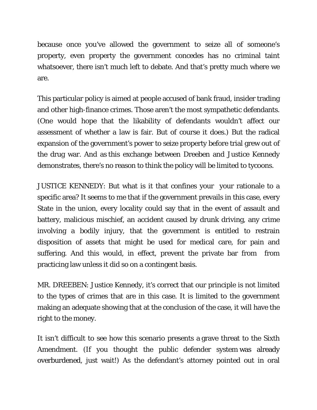because once you've allowed the government to seize all of someone's property, even property the government concedes has no criminal taint whatsoever, there isn't much left to debate. And that's pretty much where we are.

This particular policy is aimed at people accused of bank fraud, insider trading and other high-finance crimes. Those aren't the most sympathetic defendants. (One would hope that the likability of defendants wouldn't affect our assessment of whether a law is fair. But of course it does.) But the radical expansion of the government's power to seize property before trial grew out of the drug war. And as this exchange between Dreeben and Justice Kennedy demonstrates, there's no reason to think the policy will be limited to tycoons.

JUSTICE KENNEDY: But what is it that confines your your rationale to a specific area? It seems to me that if the government prevails in this case, every State in the union, every locality could say that in the event of assault and battery, malicious mischief, an accident caused by drunk driving, any crime involving a bodily injury, that the government is entitled to restrain disposition of assets that might be used for medical care, for pain and suffering. And this would, in effect, prevent the private bar from from practicing law unless it did so on a contingent basis.

MR. DREEBEN: Justice Kennedy, it's correct that our principle is not limited to the types of crimes that are in this case. It is limited to the government making an adequate showing that at the conclusion of the case, it will have the right to the money.

It isn't difficult to see how this scenario presents a grave threat to the Sixth Amendment. (If you thought the public defender system was already overburdened, just wait!) As the defendant's attorney pointed out in oral